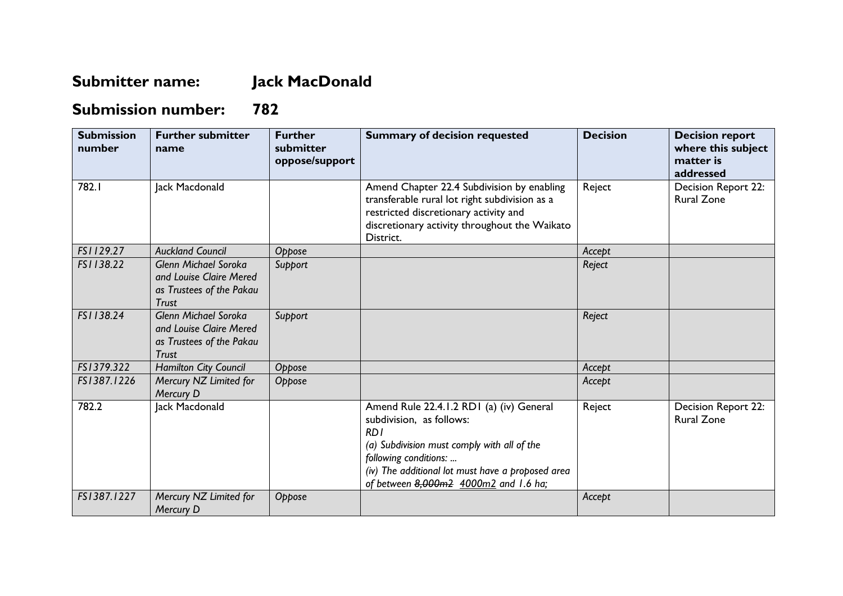## **Submitter name: Jack MacDonald**

## **Submission number: 782**

| <b>Submission</b><br>number | <b>Further submitter</b><br>name                                                                   | <b>Further</b><br>submitter<br>oppose/support | <b>Summary of decision requested</b>                                                                                                                                                                                                              | <b>Decision</b> | <b>Decision report</b><br>where this subject<br>matter is<br>addressed |
|-----------------------------|----------------------------------------------------------------------------------------------------|-----------------------------------------------|---------------------------------------------------------------------------------------------------------------------------------------------------------------------------------------------------------------------------------------------------|-----------------|------------------------------------------------------------------------|
| 782.I                       | Jack Macdonald                                                                                     |                                               | Amend Chapter 22.4 Subdivision by enabling<br>transferable rural lot right subdivision as a<br>restricted discretionary activity and<br>discretionary activity throughout the Waikato<br>District.                                                | Reject          | Decision Report 22:<br><b>Rural Zone</b>                               |
| FS1129.27                   | <b>Auckland Council</b>                                                                            | Oppose                                        |                                                                                                                                                                                                                                                   | Accept          |                                                                        |
| FS1138.22                   | <b>Glenn Michael Soroka</b><br>and Louise Claire Mered<br>as Trustees of the Pakau<br><b>Trust</b> | Support                                       |                                                                                                                                                                                                                                                   | Reject          |                                                                        |
| FS1138.24                   | <b>Glenn Michael Soroka</b><br>and Louise Claire Mered<br>as Trustees of the Pakau<br><b>Trust</b> | Support                                       |                                                                                                                                                                                                                                                   | Reject          |                                                                        |
| FS1379.322                  | <b>Hamilton City Council</b>                                                                       | Oppose                                        |                                                                                                                                                                                                                                                   | Accept          |                                                                        |
| FS1387.1226                 | Mercury NZ Limited for<br>Mercury D                                                                | Oppose                                        |                                                                                                                                                                                                                                                   | Accept          |                                                                        |
| 782.2                       | Jack Macdonald                                                                                     |                                               | Amend Rule 22.4.1.2 RD1 (a) (iv) General<br>subdivision, as follows:<br>RDI<br>(a) Subdivision must comply with all of the<br>following conditions:<br>(iv) The additional lot must have a proposed area<br>of between 8,000m2 4000m2 and 1.6 ha; | Reject          | Decision Report 22:<br><b>Rural Zone</b>                               |
| FS1387.1227                 | Mercury NZ Limited for<br>Mercury D                                                                | Oppose                                        |                                                                                                                                                                                                                                                   | Accept          |                                                                        |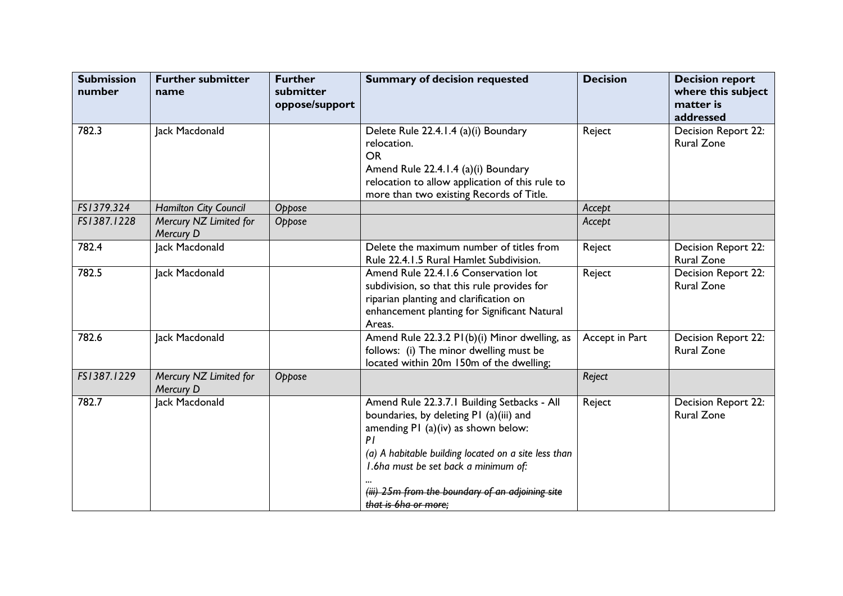| <b>Submission</b><br>number | <b>Further submitter</b><br>name           | <b>Further</b><br>submitter<br>oppose/support | <b>Summary of decision requested</b>                                                                                                                                                                                                                                                                            | <b>Decision</b> | <b>Decision report</b><br>where this subject<br>matter is<br>addressed |
|-----------------------------|--------------------------------------------|-----------------------------------------------|-----------------------------------------------------------------------------------------------------------------------------------------------------------------------------------------------------------------------------------------------------------------------------------------------------------------|-----------------|------------------------------------------------------------------------|
| 782.3                       | Jack Macdonald                             |                                               | Delete Rule 22.4.1.4 (a)(i) Boundary<br>relocation.<br><b>OR</b><br>Amend Rule 22.4.1.4 (a)(i) Boundary<br>relocation to allow application of this rule to<br>more than two existing Records of Title.                                                                                                          | Reject          | Decision Report 22:<br><b>Rural Zone</b>                               |
| FS1379.324                  | <b>Hamilton City Council</b>               | Oppose                                        |                                                                                                                                                                                                                                                                                                                 | Accept          |                                                                        |
| FS1387.1228                 | Mercury NZ Limited for<br>Mercury D        | Oppose                                        |                                                                                                                                                                                                                                                                                                                 | Accept          |                                                                        |
| 782.4                       | Jack Macdonald                             |                                               | Delete the maximum number of titles from<br>Rule 22.4.1.5 Rural Hamlet Subdivision.                                                                                                                                                                                                                             | Reject          | Decision Report 22:<br><b>Rural Zone</b>                               |
| 782.5                       | Jack Macdonald                             |                                               | Amend Rule 22.4.1.6 Conservation lot<br>subdivision, so that this rule provides for<br>riparian planting and clarification on<br>enhancement planting for Significant Natural<br>Areas.                                                                                                                         | Reject          | Decision Report 22:<br><b>Rural Zone</b>                               |
| 782.6                       | Jack Macdonald                             |                                               | Amend Rule 22.3.2 PI(b)(i) Minor dwelling, as<br>follows: (i) The minor dwelling must be<br>located within 20m 150m of the dwelling;                                                                                                                                                                            | Accept in Part  | Decision Report 22:<br><b>Rural Zone</b>                               |
| FS1387.1229                 | Mercury NZ Limited for<br><b>Mercury D</b> | Oppose                                        |                                                                                                                                                                                                                                                                                                                 | Reject          |                                                                        |
| 782.7                       | Jack Macdonald                             |                                               | Amend Rule 22.3.7.1 Building Setbacks - All<br>boundaries, by deleting P1 (a)(iii) and<br>amending PI (a)(iv) as shown below:<br>PI<br>(a) A habitable building located on a site less than<br>I.6ha must be set back a minimum of:<br>(iii) 25m from the boundary of an adjoining site<br>that is 6ha or more; | Reject          | Decision Report 22:<br><b>Rural Zone</b>                               |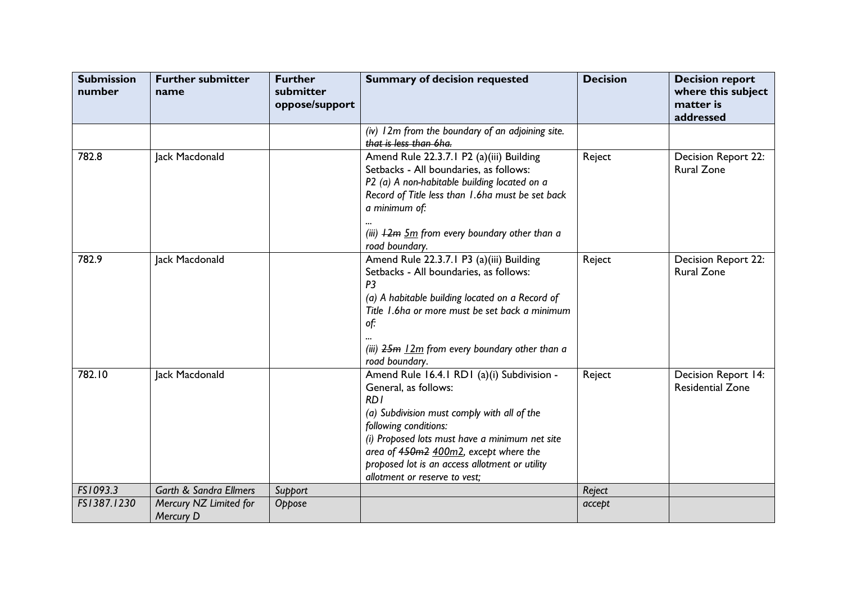| <b>Submission</b><br>number | <b>Further submitter</b><br>name    | <b>Further</b><br>submitter<br>oppose/support | <b>Summary of decision requested</b>                                                                                                                                                                                                                                                                                            | <b>Decision</b> | <b>Decision report</b><br>where this subject<br>matter is<br>addressed |
|-----------------------------|-------------------------------------|-----------------------------------------------|---------------------------------------------------------------------------------------------------------------------------------------------------------------------------------------------------------------------------------------------------------------------------------------------------------------------------------|-----------------|------------------------------------------------------------------------|
|                             |                                     |                                               | (iv) 12m from the boundary of an adjoining site.<br>that is less than 6ha.                                                                                                                                                                                                                                                      |                 |                                                                        |
| 782.8                       | Jack Macdonald                      |                                               | Amend Rule 22.3.7.1 P2 (a)(iii) Building<br>Setbacks - All boundaries, as follows:<br>P2 (a) A non-habitable building located on a<br>Record of Title less than 1.6ha must be set back<br>a minimum of:<br>(iii) $12m$ $5m$ from every boundary other than a<br>road boundary.                                                  | Reject          | Decision Report 22:<br><b>Rural Zone</b>                               |
| 782.9                       | Jack Macdonald                      |                                               | Amend Rule 22.3.7.1 P3 (a)(iii) Building<br>Setbacks - All boundaries, as follows:<br>P <sub>3</sub><br>(a) A habitable building located on a Record of<br>Title 1.6ha or more must be set back a minimum<br>of:<br>(iii) $25m$ $12m$ from every boundary other than a<br>road boundary.                                        | Reject          | Decision Report 22:<br><b>Rural Zone</b>                               |
| 782.10                      | Jack Macdonald                      |                                               | Amend Rule 16.4.1 RD1 (a)(i) Subdivision -<br>General, as follows:<br>RD1<br>(a) Subdivision must comply with all of the<br>following conditions:<br>(i) Proposed lots must have a minimum net site<br>area of 450m2 400m2, except where the<br>proposed lot is an access allotment or utility<br>allotment or reserve to vest; | Reject          | Decision Report 14:<br><b>Residential Zone</b>                         |
| FS1093.3                    | <b>Garth &amp; Sandra Ellmers</b>   | Support                                       |                                                                                                                                                                                                                                                                                                                                 | Reject          |                                                                        |
| FS1387.1230                 | Mercury NZ Limited for<br>Mercury D | Oppose                                        |                                                                                                                                                                                                                                                                                                                                 | accept          |                                                                        |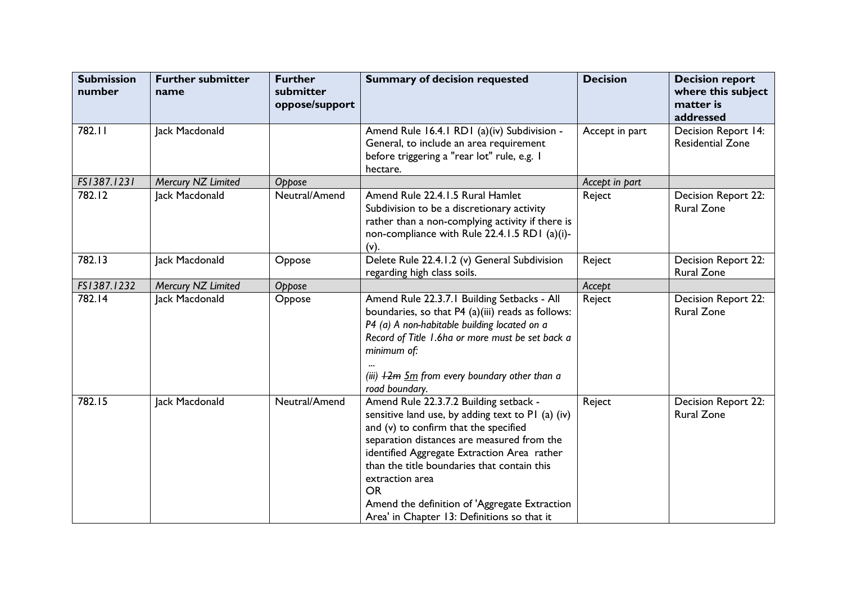| <b>Submission</b><br>number | <b>Further submitter</b><br>name | <b>Further</b><br>submitter<br>oppose/support | <b>Summary of decision requested</b>                                                                                                                                                                                                                                                                                                                                                                             | <b>Decision</b> | <b>Decision report</b><br>where this subject<br>matter is<br>addressed |
|-----------------------------|----------------------------------|-----------------------------------------------|------------------------------------------------------------------------------------------------------------------------------------------------------------------------------------------------------------------------------------------------------------------------------------------------------------------------------------------------------------------------------------------------------------------|-----------------|------------------------------------------------------------------------|
| 782.11                      | Jack Macdonald                   |                                               | Amend Rule 16.4.1 RD1 (a)(iv) Subdivision -<br>General, to include an area requirement<br>before triggering a "rear lot" rule, e.g. I<br>hectare.                                                                                                                                                                                                                                                                | Accept in part  | Decision Report 14:<br><b>Residential Zone</b>                         |
| FS1387.1231                 | Mercury NZ Limited               | Oppose                                        |                                                                                                                                                                                                                                                                                                                                                                                                                  | Accept in part  |                                                                        |
| 782.12                      | Jack Macdonald                   | Neutral/Amend                                 | Amend Rule 22.4.1.5 Rural Hamlet<br>Subdivision to be a discretionary activity<br>rather than a non-complying activity if there is<br>non-compliance with Rule 22.4.1.5 RD1 (a)(i)-<br>(v).                                                                                                                                                                                                                      | Reject          | Decision Report 22:<br><b>Rural Zone</b>                               |
| 782.13                      | Jack Macdonald                   | Oppose                                        | Delete Rule 22.4.1.2 (v) General Subdivision<br>regarding high class soils.                                                                                                                                                                                                                                                                                                                                      | Reject          | <b>Decision Report 22:</b><br><b>Rural Zone</b>                        |
| FS1387.1232                 | Mercury NZ Limited               | Oppose                                        |                                                                                                                                                                                                                                                                                                                                                                                                                  | Accept          |                                                                        |
| 782.14                      | Jack Macdonald                   | Oppose                                        | Amend Rule 22.3.7.1 Building Setbacks - All<br>boundaries, so that P4 (a)(iii) reads as follows:<br>P4 (a) A non-habitable building located on a<br>Record of Title 1.6ha or more must be set back a<br>minimum of:<br>(iii) $12m$ $5m$ from every boundary other than a<br>road boundary.                                                                                                                       | Reject          | Decision Report 22:<br><b>Rural Zone</b>                               |
| 782.15                      | Jack Macdonald                   | Neutral/Amend                                 | Amend Rule 22.3.7.2 Building setback -<br>sensitive land use, by adding text to P1 (a) (iv)<br>and (v) to confirm that the specified<br>separation distances are measured from the<br>identified Aggregate Extraction Area rather<br>than the title boundaries that contain this<br>extraction area<br><b>OR</b><br>Amend the definition of 'Aggregate Extraction<br>Area' in Chapter 13: Definitions so that it | Reject          | Decision Report 22:<br><b>Rural Zone</b>                               |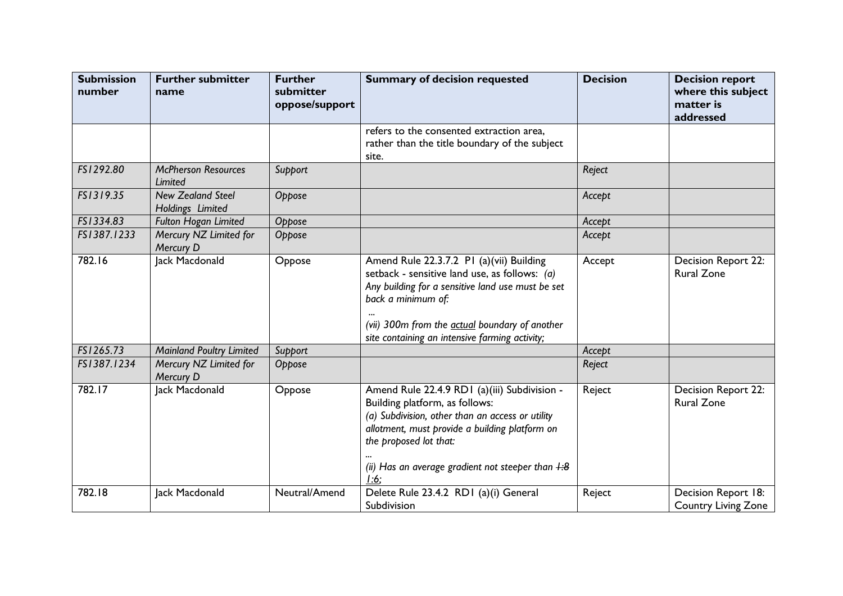| <b>Submission</b><br>number | <b>Further submitter</b><br>name             | <b>Further</b><br>submitter<br>oppose/support | <b>Summary of decision requested</b>                                                                                                                                                                                                                                                     | <b>Decision</b> | <b>Decision report</b><br>where this subject<br>matter is<br>addressed |
|-----------------------------|----------------------------------------------|-----------------------------------------------|------------------------------------------------------------------------------------------------------------------------------------------------------------------------------------------------------------------------------------------------------------------------------------------|-----------------|------------------------------------------------------------------------|
|                             |                                              |                                               | refers to the consented extraction area,<br>rather than the title boundary of the subject<br>site.                                                                                                                                                                                       |                 |                                                                        |
| FS1292.80                   | <b>McPherson Resources</b><br>Limited        | Support                                       |                                                                                                                                                                                                                                                                                          | Reject          |                                                                        |
| FS1319.35                   | <b>New Zealand Steel</b><br>Holdings Limited | Oppose                                        |                                                                                                                                                                                                                                                                                          | Accept          |                                                                        |
| FS1334.83                   | <b>Fulton Hogan Limited</b>                  | Oppose                                        |                                                                                                                                                                                                                                                                                          | Accept          |                                                                        |
| FS1387.1233                 | Mercury NZ Limited for<br>Mercury D          | Oppose                                        |                                                                                                                                                                                                                                                                                          | Accept          |                                                                        |
| 782.16                      | Jack Macdonald                               | Oppose                                        | Amend Rule 22.3.7.2 PI (a)(vii) Building<br>setback - sensitive land use, as follows: (a)<br>Any building for a sensitive land use must be set<br>back a minimum of:<br>(vii) 300m from the <b>actual</b> boundary of another<br>site containing an intensive farming activity;          | Accept          | <b>Decision Report 22:</b><br><b>Rural Zone</b>                        |
| FS1265.73                   | <b>Mainland Poultry Limited</b>              | Support                                       |                                                                                                                                                                                                                                                                                          | Accept          |                                                                        |
| FS1387.1234                 | Mercury NZ Limited for<br>Mercury D          | Oppose                                        |                                                                                                                                                                                                                                                                                          | Reject          |                                                                        |
| 782.17                      | Jack Macdonald                               | Oppose                                        | Amend Rule 22.4.9 RD1 (a)(iii) Subdivision -<br>Building platform, as follows:<br>(a) Subdivision, other than an access or utility<br>allotment, must provide a building platform on<br>the proposed lot that:<br>(ii) Has an average gradient not steeper than $\overline{4:8}$<br>1:6: | Reject          | Decision Report 22:<br><b>Rural Zone</b>                               |
| 782.18                      | Jack Macdonald                               | Neutral/Amend                                 | Delete Rule 23.4.2 RD1 (a)(i) General<br>Subdivision                                                                                                                                                                                                                                     | Reject          | Decision Report 18:<br><b>Country Living Zone</b>                      |